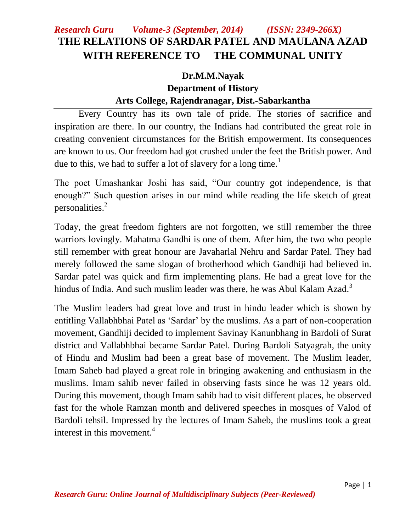## *Research Guru Volume-3 (September, 2014) (ISSN: 2349-266X)* **THE RELATIONS OF SARDAR PATEL AND MAULANA AZAD WITH REFERENCE TO THE COMMUNAL UNITY**

## **Dr.M.M.Nayak Department of History Arts College, Rajendranagar, Dist.-Sabarkantha**

Every Country has its own tale of pride. The stories of sacrifice and inspiration are there. In our country, the Indians had contributed the great role in creating convenient circumstances for the British empowerment. Its consequences are known to us. Our freedom had got crushed under the feet the British power. And due to this, we had to suffer a lot of slavery for a long time.<sup>1</sup>

The poet Umashankar Joshi has said, "Our country got independence, is that enough?" Such question arises in our mind while reading the life sketch of great personalities.<sup>2</sup>

Today, the great freedom fighters are not forgotten, we still remember the three warriors lovingly. Mahatma Gandhi is one of them. After him, the two who people still remember with great honour are Javaharlal Nehru and Sardar Patel. They had merely followed the same slogan of brotherhood which Gandhiji had believed in. Sardar patel was quick and firm implementing plans. He had a great love for the hindus of India. And such muslim leader was there, he was Abul Kalam Azad.<sup>3</sup>

The Muslim leaders had great love and trust in hindu leader which is shown by entitling Vallabhbhai Patel as "Sardar" by the muslims. As a part of non-cooperation movement, Gandhiji decided to implement Savinay Kanunbhang in Bardoli of Surat district and Vallabhbhai became Sardar Patel. During Bardoli Satyagrah, the unity of Hindu and Muslim had been a great base of movement. The Muslim leader, Imam Saheb had played a great role in bringing awakening and enthusiasm in the muslims. Imam sahib never failed in observing fasts since he was 12 years old. During this movement, though Imam sahib had to visit different places, he observed fast for the whole Ramzan month and delivered speeches in mosques of Valod of Bardoli tehsil. Impressed by the lectures of Imam Saheb, the muslims took a great interest in this movement.<sup>4</sup>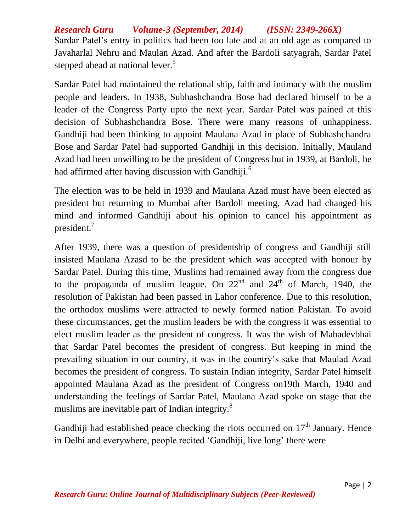*Research Guru Volume-3 (September, 2014) (ISSN: 2349-266X)* Sardar Patel"s entry in politics had been too late and at an old age as compared to Javaharlal Nehru and Maulan Azad. And after the Bardoli satyagrah, Sardar Patel stepped ahead at national lever.<sup>5</sup>

Sardar Patel had maintained the relational ship, faith and intimacy with the muslim people and leaders. In 1938, Subhashchandra Bose had declared himself to be a leader of the Congress Party upto the next year. Sardar Patel was pained at this decision of Subhashchandra Bose. There were many reasons of unhappiness. Gandhiji had been thinking to appoint Maulana Azad in place of Subhashchandra Bose and Sardar Patel had supported Gandhiji in this decision. Initially, Mauland Azad had been unwilling to be the president of Congress but in 1939, at Bardoli, he had affirmed after having discussion with Gandhiji.<sup>6</sup>

The election was to be held in 1939 and Maulana Azad must have been elected as president but returning to Mumbai after Bardoli meeting, Azad had changed his mind and informed Gandhiji about his opinion to cancel his appointment as president.<sup>7</sup>

After 1939, there was a question of presidentship of congress and Gandhiji still insisted Maulana Azasd to be the president which was accepted with honour by Sardar Patel. During this time, Muslims had remained away from the congress due to the propaganda of muslim league. On  $22<sup>nd</sup>$  and  $24<sup>th</sup>$  of March, 1940, the resolution of Pakistan had been passed in Lahor conference. Due to this resolution, the orthodox muslims were attracted to newly formed nation Pakistan. To avoid these circumstances, get the muslim leaders be with the congress it was essential to elect muslim leader as the president of congress. It was the wish of Mahadevbhai that Sardar Patel becomes the president of congress. But keeping in mind the prevailing situation in our country, it was in the country"s sake that Maulad Azad becomes the president of congress. To sustain Indian integrity, Sardar Patel himself appointed Maulana Azad as the president of Congress on19th March, 1940 and understanding the feelings of Sardar Patel, Maulana Azad spoke on stage that the muslims are inevitable part of Indian integrity.<sup>8</sup>

Gandhiji had established peace checking the riots occurred on  $17<sup>th</sup>$  January. Hence in Delhi and everywhere, people recited "Gandhiji, live long" there were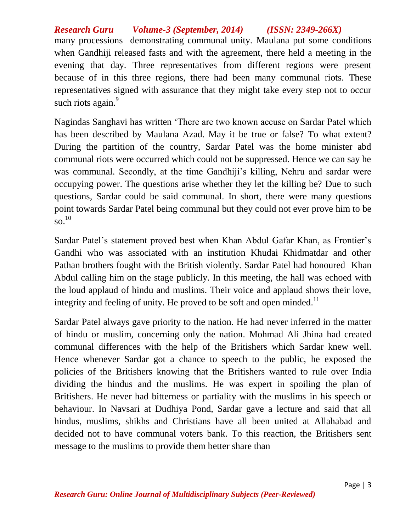*Research Guru Volume-3 (September, 2014) (ISSN: 2349-266X)* many processions demonstrating communal unity. Maulana put some conditions when Gandhiji released fasts and with the agreement, there held a meeting in the evening that day. Three representatives from different regions were present because of in this three regions, there had been many communal riots. These representatives signed with assurance that they might take every step not to occur such riots again. $9$ 

Nagindas Sanghavi has written "There are two known accuse on Sardar Patel which has been described by Maulana Azad. May it be true or false? To what extent? During the partition of the country, Sardar Patel was the home minister abd communal riots were occurred which could not be suppressed. Hence we can say he was communal. Secondly, at the time Gandhiji's killing, Nehru and sardar were occupying power. The questions arise whether they let the killing be? Due to such questions, Sardar could be said communal. In short, there were many questions point towards Sardar Patel being communal but they could not ever prove him to be so. 10

Sardar Patel's statement proved best when Khan Abdul Gafar Khan, as Frontier's Gandhi who was associated with an institution Khudai Khidmatdar and other Pathan brothers fought with the British violently. Sardar Patel had honoured Khan Abdul calling him on the stage publicly. In this meeting, the hall was echoed with the loud applaud of hindu and muslims. Their voice and applaud shows their love, integrity and feeling of unity. He proved to be soft and open minded.<sup>11</sup>

Sardar Patel always gave priority to the nation. He had never inferred in the matter of hindu or muslim, concerning only the nation. Mohmad Ali Jhina had created communal differences with the help of the Britishers which Sardar knew well. Hence whenever Sardar got a chance to speech to the public, he exposed the policies of the Britishers knowing that the Britishers wanted to rule over India dividing the hindus and the muslims. He was expert in spoiling the plan of Britishers. He never had bitterness or partiality with the muslims in his speech or behaviour. In Navsari at Dudhiya Pond, Sardar gave a lecture and said that all hindus, muslims, shikhs and Christians have all been united at Allahabad and decided not to have communal voters bank. To this reaction, the Britishers sent message to the muslims to provide them better share than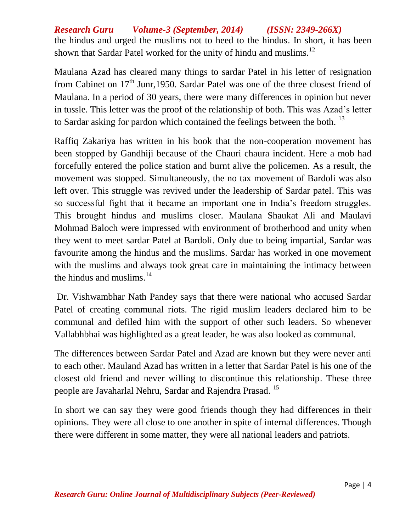*Research Guru Volume-3 (September, 2014) (ISSN: 2349-266X)* the hindus and urged the muslims not to heed to the hindus. In short, it has been shown that Sardar Patel worked for the unity of hindu and muslims.<sup>12</sup>

Maulana Azad has cleared many things to sardar Patel in his letter of resignation from Cabinet on 17<sup>th</sup> Junr,1950. Sardar Patel was one of the three closest friend of Maulana. In a period of 30 years, there were many differences in opinion but never in tussle. This letter was the proof of the relationship of both. This was Azad"s letter to Sardar asking for pardon which contained the feelings between the both.<sup>13</sup>

Raffiq Zakariya has written in his book that the non-cooperation movement has been stopped by Gandhiji because of the Chauri chaura incident. Here a mob had forcefully entered the police station and burnt alive the policemen. As a result, the movement was stopped. Simultaneously, the no tax movement of Bardoli was also left over. This struggle was revived under the leadership of Sardar patel. This was so successful fight that it became an important one in India"s freedom struggles. This brought hindus and muslims closer. Maulana Shaukat Ali and Maulavi Mohmad Baloch were impressed with environment of brotherhood and unity when they went to meet sardar Patel at Bardoli. Only due to being impartial, Sardar was favourite among the hindus and the muslims. Sardar has worked in one movement with the muslims and always took great care in maintaining the intimacy between the hindus and muslims. $^{14}$ 

Dr. Vishwambhar Nath Pandey says that there were national who accused Sardar Patel of creating communal riots. The rigid muslim leaders declared him to be communal and defiled him with the support of other such leaders. So whenever Vallabhbhai was highlighted as a great leader, he was also looked as communal.

The differences between Sardar Patel and Azad are known but they were never anti to each other. Mauland Azad has written in a letter that Sardar Patel is his one of the closest old friend and never willing to discontinue this relationship. These three people are Javaharlal Nehru, Sardar and Rajendra Prasad. <sup>15</sup>

In short we can say they were good friends though they had differences in their opinions. They were all close to one another in spite of internal differences. Though there were different in some matter, they were all national leaders and patriots.